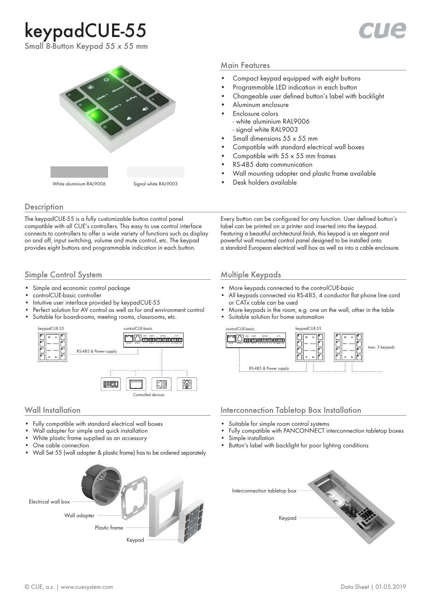# keypadCUE-55



Small 8-Button Keypad 55 x 55 mm



### **Description**

The keypadCUE-55 is a fully customizable button control panel compatible with all CUE's controllers. This easy to use control interface connects to controllers to offer a wide variety of functions such as display on and off, input switching, volume and mute control, etc. The keypad provides eight buttons and programmable indication in each button.

### Simple Control System

- Simple and economic control package
- controlCUE-basic controller
- Intuitive user interface provided by keypadCUE-55
- Perfect solution for AV control as well as for and environment control
- Suitable for boardrooms, meeting rooms, classrooms, etc.



- Fully compatible with standard electrical wall boxes
- Wall adapter for simple and quick installation
- White plastic frame supplied as an accessory
- One cable connection
- Wall Set 55 (wall adapter & plastic frame) has to be ordered separately



#### Main Features

- Compact keypad equipped with eight buttons
- Programmable LED indication in each button
- Changeable user defined button's label with backlight
- Aluminum enclosure
- Enclosure colors - white aluminium RAL9006 - signal white RAL9003
- Small dimensions 55 x 55 mm
- Compatible with standard electrical wall boxes
- Compatible with  $55 \times 55$  mm frames
- RS-485 data communication
- Wall mounting adapter and plastic frame available
- Desk holders available

Every button can be configured for any function. User defined button's label can be printed on a printer and inserted into the keypad. Featuring a beautiful architectural finish, this keypad is an elegant and powerful wall mounted control panel designed to be installed onto a standard European electrical wall box as well as into a cable enclosure.

# Multiple Keypads

- More keypads connected to the controlCUE-basic
- All keypads connected via RS-485, 4 conductor flat phone line cord or CATx cable can be used
- More keypads in the room, e.g. one on the wall, other in the table
- Suitable solution for home automation



### Wall Installation Interconnection Tabletop Box Installation

- Suitable for simple room control systems
- Fully compatible with PANCONNECT interconnection tabletop boxes
- Simple installation
- Button's label with backlight for poor lighting conditions